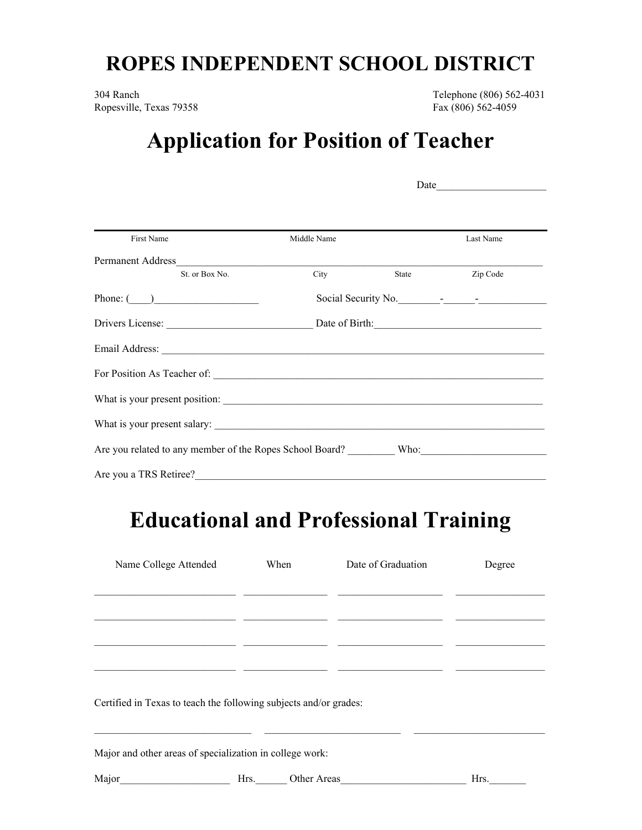## **ROPES INDEPENDENT SCHOOL DISTRICT**

304 Ranch Telephone (806) 562-4031 Ropesville, Texas 79358 Fax (806) 562-4059

## **Application for Position of Teacher**

|                                                               |                  |                     | Date      |  |
|---------------------------------------------------------------|------------------|---------------------|-----------|--|
|                                                               |                  |                     |           |  |
| First Name                                                    | Middle Name      |                     | Last Name |  |
|                                                               |                  |                     |           |  |
| St. or Box No.                                                | <b>City</b> City | <b>State</b> State  | Zip Code  |  |
| Phone: $\qquad \qquad$                                        |                  | Social Security No. |           |  |
|                                                               |                  |                     |           |  |
| Email Address: <u>Queen Communications</u>                    |                  |                     |           |  |
|                                                               |                  |                     |           |  |
|                                                               |                  |                     |           |  |
|                                                               |                  |                     |           |  |
| Are you related to any member of the Ropes School Board? Who: |                  |                     |           |  |
| Are you a TRS Retiree?                                        |                  |                     |           |  |

## **Educational and Professional Training**

| Name College Attended                                             | When                | Date of Graduation | Degree |
|-------------------------------------------------------------------|---------------------|--------------------|--------|
|                                                                   |                     |                    |        |
|                                                                   |                     |                    |        |
|                                                                   |                     |                    |        |
|                                                                   |                     |                    |        |
| Certified in Texas to teach the following subjects and/or grades: |                     |                    |        |
| Major and other areas of specialization in college work:          |                     |                    |        |
| Major                                                             | Other Areas<br>Hrs. |                    | Hrs.   |